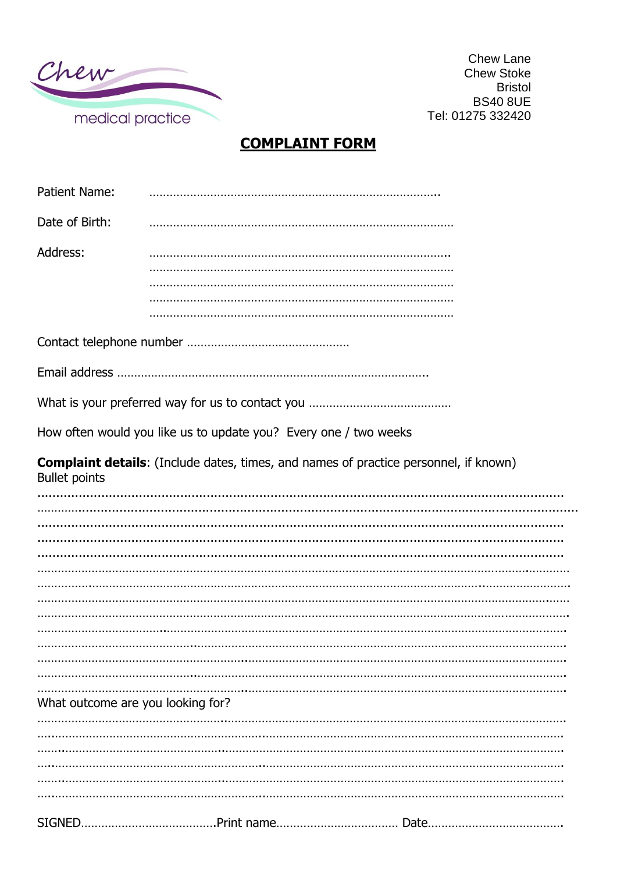

**Chew Lane Chew Stoke Bristol BS40 8UE** Tel: 01275 332420

## **COMPLAINT FORM**

| <b>Patient Name:</b>              |                                                                                             |
|-----------------------------------|---------------------------------------------------------------------------------------------|
| Date of Birth:                    |                                                                                             |
| Address:                          |                                                                                             |
|                                   |                                                                                             |
|                                   |                                                                                             |
|                                   |                                                                                             |
|                                   | How often would you like us to update you? Every one / two weeks                            |
| <b>Bullet points</b>              | <b>Complaint details:</b> (Include dates, times, and names of practice personnel, if known) |
|                                   |                                                                                             |
|                                   |                                                                                             |
|                                   |                                                                                             |
|                                   |                                                                                             |
|                                   |                                                                                             |
|                                   |                                                                                             |
|                                   |                                                                                             |
|                                   |                                                                                             |
|                                   |                                                                                             |
| What outcome are you looking for? |                                                                                             |
|                                   |                                                                                             |
|                                   |                                                                                             |
|                                   |                                                                                             |
|                                   |                                                                                             |
|                                   |                                                                                             |